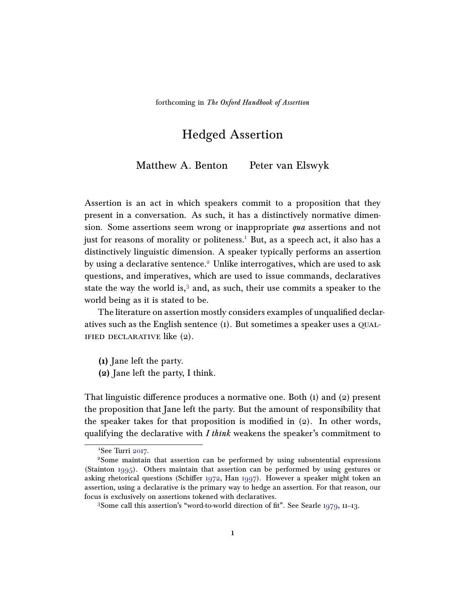# Hedged Assertion

Matthew A. Benton Peter van Elswyk

Assertion is an act in which speakers commit to a proposition that they present in a conversation. As such, it has a distinctively normative dimension. Some assertions seem wrong or inappropriate qua assertions and not just for reasons of morality or politeness.<sup>[1](#page-0-0)</sup> But, as a speech act, it also has a distinctively linguistic dimension. A speaker typically performs an assertion by using a declarative sentence.<sup>[2](#page-0-1)</sup> Unlike interrogatives, which are used to ask questions, and imperatives, which are used to issue commands, declaratives state the way the world is,<sup>[3](#page-0-2)</sup> and, as such, their use commits a speaker to the world being as it is stated to be.

The literature on assertion mostly considers examples of unqualified declaratives such as the English sentence (1). But sometimes a speaker uses a qualified declarative like (2).

<span id="page-0-3"></span>(1) Jane left the party.

(2) Jane left the party, I think.

That linguistic difference produces a normative one. Both  $(1)$  and  $(2)$  present the proposition that Jane left the party. But the amount of responsibility that the speaker takes for that proposition is modified in  $(2)$ . In other words, qualifying the declarative with  $I$  think weakens the speaker's commitment to

<span id="page-0-1"></span><span id="page-0-0"></span><sup>&</sup>lt;sup>1</sup>See Turri [2017.](#page-24-0)

<sup>2</sup>Some maintain that assertion can be performed by using subsentential expressions (Stainton [1995\)](#page-23-0). Others maintain that assertion can be performed by using gestures or asking rhetorical questions (Schiffer [1972,](#page-23-1) Han [1997\)](#page-21-0). However a speaker might token an assertion, using a declarative is the primary way to hedge an assertion. For that reason, our focus is exclusively on assertions tokened with declaratives.

<span id="page-0-2"></span><sup>3</sup>Some call this assertion's "word-to-world direction of fit". See Searle [1979,](#page-23-2) 11–13.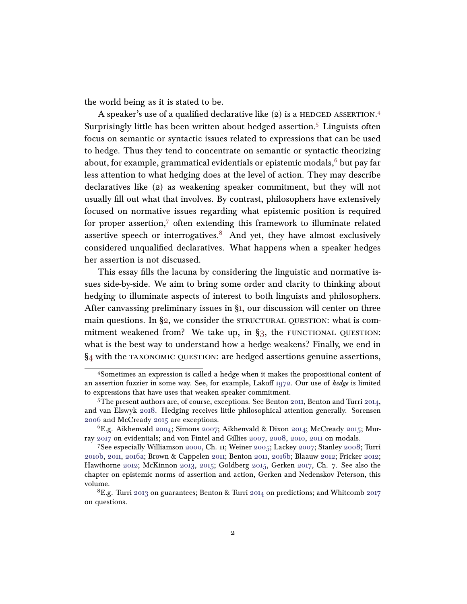the world being as it is stated to be.

A speaker's use of a qualified declarative like  $(2)$  is a HEDGED ASSERTION.<sup>[4](#page-1-0)</sup> Surprisingly little has been written about hedged assertion.<sup>[5](#page-1-1)</sup> Linguists often focus on semantic or syntactic issues related to expressions that can be used to hedge. Thus they tend to concentrate on semantic or syntactic theorizing about, for example, grammatical evidentials or epistemic modals,  $6$  but pay far less attention to what hedging does at the level of action. They may describe declaratives like (2) as weakening speaker commitment, but they will not usually fill out what that involves. By contrast, philosophers have extensively focused on normative issues regarding what epistemic position is required for proper assertion,<sup>[7](#page-1-3)</sup> often extending this framework to illuminate related assertive speech or interrogatives. $8$  And yet, they have almost exclusively considered unqualified declaratives. What happens when a speaker hedges her assertion is not discussed.

This essay fills the lacuna by considering the linguistic and normative issues side-by-side. We aim to bring some order and clarity to thinking about hedging to illuminate aspects of interest to both linguists and philosophers. After canvassing preliminary issues in [§1,](#page-2-0) our discussion will center on three main questions. In  $\S$ 2, we consider the STRUCTURAL QUESTION: what is commitment weakened from? We take up, in  $\S$ 3, the FUNCTIONAL QUESTION: what is the best way to understand how a hedge weakens? Finally, we end in [§4](#page-14-0) with the taxonomic question: are hedged assertions genuine assertions,

<span id="page-1-0"></span><sup>4</sup>Sometimes an expression is called a hedge when it makes the propositional content of an assertion fuzzier in some way. See, for example, Lakoff  $1972$ . Our use of *hedge* is limited to expressions that have uses that weaken speaker commitment.

<span id="page-1-1"></span><sup>5</sup>The present authors are, of course, exceptions. See Benton [2011,](#page-20-0) Benton and Turri [2014,](#page-20-1) and van Elswyk [2018.](#page-24-1) Hedging receives little philosophical attention generally. Sorensen [2006](#page-23-3) and McCready [2015](#page-22-1) are exceptions.

<span id="page-1-2"></span><sup>&</sup>lt;sup>6</sup>E.g. Aikhenvald [2004;](#page-20-2) Simons [2007;](#page-23-4) Aikhenvald & Dixon [2014;](#page-20-3) McCready [2015;](#page-22-1) Murray [2017](#page-22-2) on evidentials; and von Fintel and Gillies [2007,](#page-24-2) [2008,](#page-24-3) [2010,](#page-24-4) [2011](#page-24-5) on modals.

<span id="page-1-3"></span><sup>7</sup>See especially Williamson [2000,](#page-24-6) Ch. 11; Weiner [2005;](#page-24-7) Lackey [2007;](#page-22-3) Stanley [2008;](#page-23-5) Turri [2010b,](#page-24-8) [2011,](#page-24-9) [2016a;](#page-24-10) Brown & Cappelen [2011;](#page-21-1) Benton [2011,](#page-20-0) [2016b;](#page-20-4) Blaauw [2012;](#page-20-5) Fricker [2012;](#page-21-2) Hawthorne [2012;](#page-21-3) McKinnon [2013,](#page-22-4) [2015;](#page-22-5) Goldberg [2015,](#page-21-4) Gerken [2017,](#page-21-5) Ch. 7. See also the chapter on epistemic norms of assertion and action, Gerken and Nedenskov Peterson, this volume.

<span id="page-1-4"></span><sup>&</sup>lt;sup>8</sup>E.g. Turri [2013](#page-24-11) on guarantees; Benton & Turri [2014](#page-20-1) on predictions; and Whitcomb [2017](#page-24-12) on questions.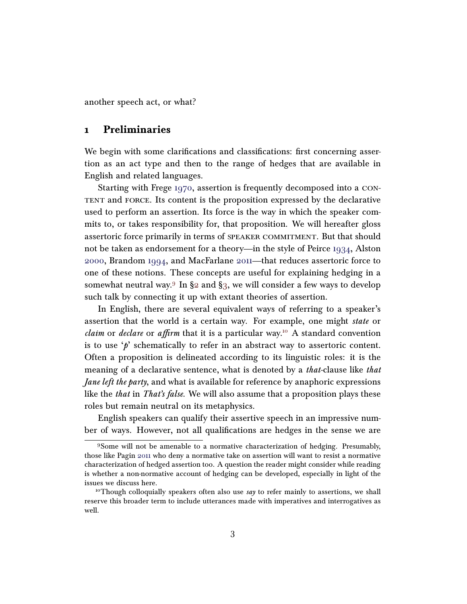another speech act, or what?

### <span id="page-2-0"></span>1 Preliminaries

We begin with some clarifications and classifications: first concerning assertion as an act type and then to the range of hedges that are available in English and related languages.

Starting with Frege [1970,](#page-21-6) assertion is frequently decomposed into a content and force. Its content is the proposition expressed by the declarative used to perform an assertion. Its force is the way in which the speaker commits to, or takes responsibility for, that proposition. We will hereafter gloss assertoric force primarily in terms of speaker commitment. But that should not be taken as endorsement for a theory—in the style of Peirce [1934,](#page-23-6) Alston [2000,](#page-20-6) Brandom [1994,](#page-20-7) and MacFarlane [2011—](#page-22-6)that reduces assertoric force to one of these notions. These concepts are useful for explaining hedging in a somewhat neutral way.<sup>[9](#page-2-1)</sup> In  $\S$ 2 and  $\S$ 3, we will consider a few ways to develop such talk by connecting it up with extant theories of assertion.

In English, there are several equivalent ways of referring to a speaker's assertion that the world is a certain way. For example, one might state or *claim* or *declare* or *affirm* that it is a particular way.<sup>[10](#page-2-2)</sup> A standard convention is to use  $\phi$  schematically to refer in an abstract way to assertoric content. Often a proposition is delineated according to its linguistic roles: it is the meaning of a declarative sentence, what is denoted by a *that*-clause like *that Jane left the party*, and what is available for reference by anaphoric expressions like the *that* in *That's false*. We will also assume that a proposition plays these roles but remain neutral on its metaphysics.

English speakers can qualify their assertive speech in an impressive number of ways. However, not all qualifications are hedges in the sense we are

<span id="page-2-1"></span><sup>9</sup>Some will not be amenable to a normative characterization of hedging. Presumably, those like Pagin [2011](#page-22-7) who deny a normative take on assertion will want to resist a normative characterization of hedged assertion too. A question the reader might consider while reading is whether a non-normative account of hedging can be developed, especially in light of the issues we discuss here.

<span id="page-2-2"></span><sup>&</sup>lt;sup>10</sup>Though colloquially speakers often also use say to refer mainly to assertions, we shall reserve this broader term to include utterances made with imperatives and interrogatives as well.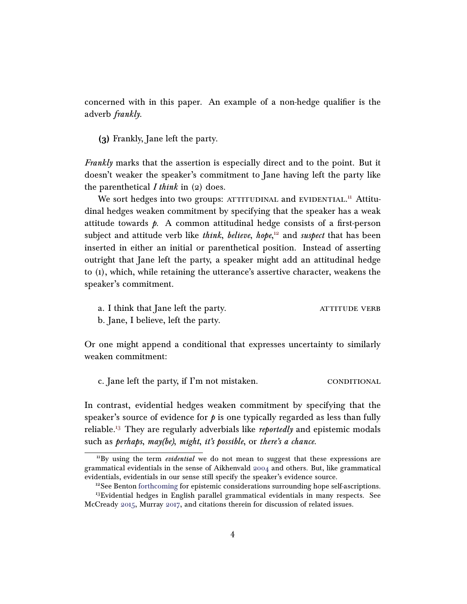concerned with in this paper. An example of a non-hedge qualifier is the adverb frankly.

(3) Frankly, Jane left the party.

Frankly marks that the assertion is especially direct and to the point. But it doesn't weaker the speaker's commitment to Jane having left the party like the parenthetical *I think* in  $(2)$  does.

We sort hedges into two groups: ATTITUDINAL and EVIDENTIAL.<sup>[11](#page-3-0)</sup> Attitudinal hedges weaken commitment by specifying that the speaker has a weak attitude towards  $p$ . A common attitudinal hedge consists of a first-person subject and attitude verb like *think, believe, hope*,<sup>[12](#page-3-1)</sup> and suspect that has been inserted in either an initial or parenthetical position. Instead of asserting outright that Jane left the party, a speaker might add an attitudinal hedge to (1), which, while retaining the utterance's assertive character, weakens the speaker's commitment.

a. I think that Jane left the party. ATTITUDE VERB

b. Jane, I believe, left the party.

Or one might append a conditional that expresses uncertainty to similarly weaken commitment:

c. Jane left the party, if I'm not mistaken. CONDITIONAL

In contrast, evidential hedges weaken commitment by specifying that the speaker's source of evidence for  $\phi$  is one typically regarded as less than fully reliable.<sup>[13](#page-3-2)</sup> They are regularly adverbials like *reportedly* and epistemic modals such as perhaps, may(be), might, it's possible, or there's a chance.

<span id="page-3-0"></span> $11\text{By}$  using the term *evidential* we do not mean to suggest that these expressions are grammatical evidentials in the sense of Aikhenvald [2004](#page-20-2) and others. But, like grammatical evidentials, evidentials in our sense still specify the speaker's evidence source.

<span id="page-3-2"></span><span id="page-3-1"></span><sup>&</sup>lt;sup>12</sup>See Benton [forthcoming](#page-20-8) for epistemic considerations surrounding hope self-ascriptions. <sup>13</sup>Evidential hedges in English parallel grammatical evidentials in many respects. See McCready [2015,](#page-22-1) Murray [2017,](#page-22-2) and citations therein for discussion of related issues.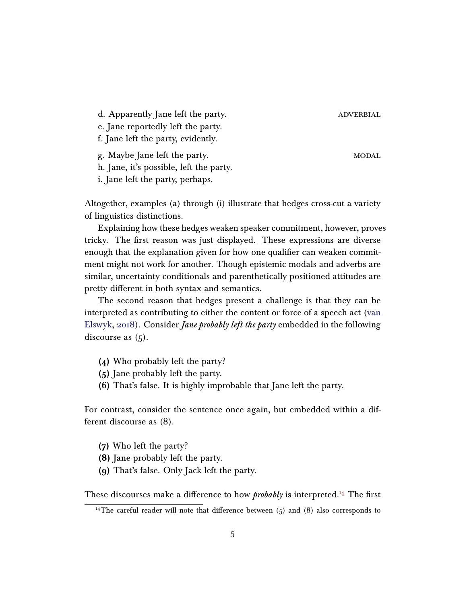d. Apparently Jane left the party. ADVERBIAL

e. Jane reportedly left the party.

f. Jane left the party, evidently.

g. Maybe Jane left the party. MODAL

h. Jane, it's possible, left the party.

i. Jane left the party, perhaps.

Altogether, examples (a) through (i) illustrate that hedges cross-cut a variety of linguistics distinctions.

Explaining how these hedges weaken speaker commitment, however, proves tricky. The first reason was just displayed. These expressions are diverse enough that the explanation given for how one qualifier can weaken commitment might not work for another. Though epistemic modals and adverbs are similar, uncertainty conditionals and parenthetically positioned attitudes are pretty different in both syntax and semantics.

The second reason that hedges present a challenge is that they can be interpreted as contributing to either the content or force of a speech act [\(van](#page-24-1) [Elswyk,](#page-24-1) [2018\)](#page-24-1). Consider Jane probably left the party embedded in the following discourse as  $(5)$ .

- (4) Who probably left the party?
- (5) Jane probably left the party.
- (6) That's false. It is highly improbable that Jane left the party.

For contrast, consider the sentence once again, but embedded within a different discourse as (8).

- (7) Who left the party?
- (8) Jane probably left the party.
- (9) That's false. Only Jack left the party.

These discourses make a difference to how *probably* is interpreted.<sup>[14](#page-4-0)</sup> The first

<span id="page-4-0"></span><sup>&</sup>lt;sup>14</sup>The careful reader will note that difference between  $(5)$  and  $(8)$  also corresponds to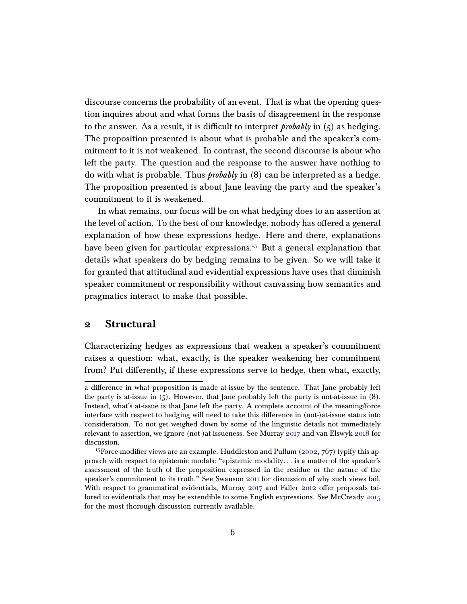discourse concerns the probability of an event. That is what the opening question inquires about and what forms the basis of disagreement in the response to the answer. As a result, it is difficult to interpret *probably* in  $(5)$  as hedging. The proposition presented is about what is probable and the speaker's commitment to it is not weakened. In contrast, the second discourse is about who left the party. The question and the response to the answer have nothing to do with what is probable. Thus probably in (8) can be interpreted as a hedge. The proposition presented is about Jane leaving the party and the speaker's commitment to it is weakened.

In what remains, our focus will be on what hedging does to an assertion at the level of action. To the best of our knowledge, nobody has offered a general explanation of how these expressions hedge. Here and there, explanations have been given for particular expressions.<sup>[15](#page-5-1)</sup> But a general explanation that details what speakers do by hedging remains to be given. So we will take it for granted that attitudinal and evidential expressions have uses that diminish speaker commitment or responsibility without canvassing how semantics and pragmatics interact to make that possible.

#### <span id="page-5-0"></span>2 Structural

Characterizing hedges as expressions that weaken a speaker's commitment raises a question: what, exactly, is the speaker weakening her commitment from? Put differently, if these expressions serve to hedge, then what, exactly,

a difference in what proposition is made at-issue by the sentence. That Jane probably left the party is at-issue in  $(5)$ . However, that Jane probably left the party is not-at-issue in  $(8)$ . Instead, what's at-issue is that Jane left the party. A complete account of the meaning/force interface with respect to hedging will need to take this difference in (not-)at-issue status into consideration. To not get weighed down by some of the linguistic details not immediately relevant to assertion, we ignore (not-)at-issueness. See Murray [2017](#page-22-2) and van Elswyk [2018](#page-24-1) for discussion.

<span id="page-5-1"></span><sup>&</sup>lt;sup>15</sup>Force-modifier views are an example. Huddleston and Pullum [\(2002,](#page-21-7) 767) typify this approach with respect to epistemic modals: "epistemic modality. . . is a matter of the speaker's assessment of the truth of the proposition expressed in the residue or the nature of the speaker's commitment to its truth." See Swanson [2011](#page-23-7) for discussion of why such views fail. With respect to grammatical evidentials, Murray  $2017$  and Faller [2012](#page-21-8) offer proposals tai-lored to evidentials that may be extendible to some English expressions. See McCready [2015](#page-22-1) for the most thorough discussion currently available.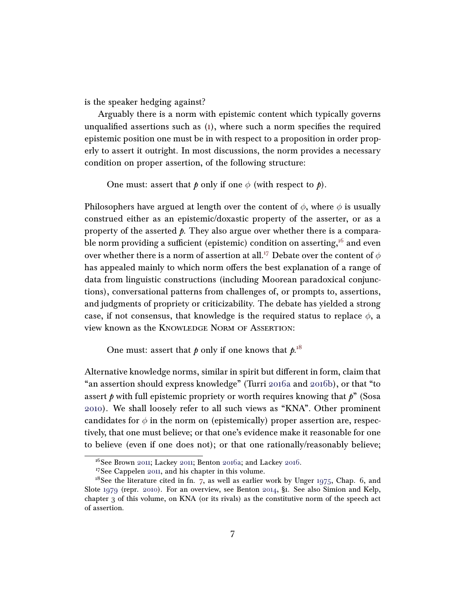is the speaker hedging against?

Arguably there is a norm with epistemic content which typically governs unqualified assertions such as  $(1)$ , where such a norm specifies the required epistemic position one must be in with respect to a proposition in order properly to assert it outright. In most discussions, the norm provides a necessary condition on proper assertion, of the following structure:

One must: assert that  $p$  only if one  $\phi$  (with respect to  $p$ ).

Philosophers have argued at length over the content of  $\phi$ , where  $\phi$  is usually construed either as an epistemic/doxastic property of the asserter, or as a property of the asserted  $\phi$ . They also argue over whether there is a compara-ble norm providing a sufficient (epistemic) condition on asserting,<sup>[16](#page-6-0)</sup> and even over whether there is a norm of assertion at all.<sup>[17](#page-6-1)</sup> Debate over the content of  $\phi$ has appealed mainly to which norm offers the best explanation of a range of data from linguistic constructions (including Moorean paradoxical conjunctions), conversational patterns from challenges of, or prompts to, assertions, and judgments of propriety or criticizability. The debate has yielded a strong case, if not consensus, that knowledge is the required status to replace  $\phi$ , a view known as the Knowledge Norm of Assertion:

One must: assert that  $p$  only if one knows that  $p^{18}$  $p^{18}$  $p^{18}$ 

Alternative knowledge norms, similar in spirit but different in form, claim that "an assertion should express knowledge" (Turri [2016a](#page-24-10) and [2016b\)](#page-24-13), or that "to assert  $\beta$  with full epistemic propriety or worth requires knowing that  $\beta$ <sup>"</sup> (Sosa [2010\)](#page-23-8). We shall loosely refer to all such views as "KNA". Other prominent candidates for  $\phi$  in the norm on (epistemically) proper assertion are, respectively, that one must believe; or that one's evidence make it reasonable for one to believe (even if one does not); or that one rationally/reasonably believe;

<span id="page-6-0"></span> $16$ See Brown [2011;](#page-22-8) Lackey 2011; Benton [2016a;](#page-20-9) and Lackey [2016.](#page-22-9)

<span id="page-6-2"></span><span id="page-6-1"></span><sup>17</sup>See Cappelen [2011,](#page-21-10) and his chapter in this volume.

<sup>&</sup>lt;sup>18</sup>See the literature cited in fn. [7,](#page-1-3) as well as earlier work by Unger [1975,](#page-24-14) Chap. 6, and Slote [1979](#page-23-9) (repr. [2010\)](#page-23-10). For an overview, see Benton [2014,](#page-20-10) §1. See also Simion and Kelp, chapter 3 of this volume, on KNA (or its rivals) as the constitutive norm of the speech act of assertion.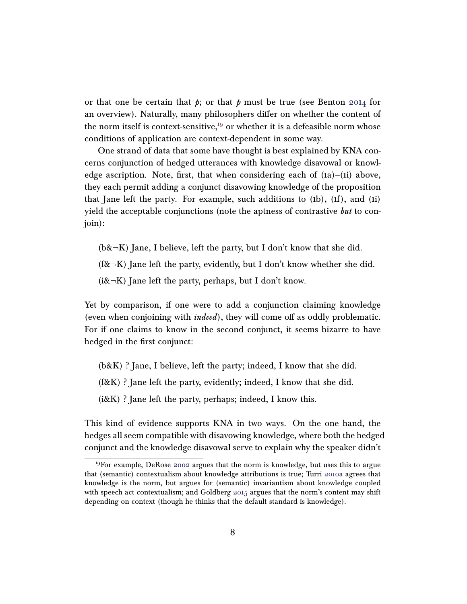or that one be certain that  $p$ ; or that  $p$  must be true (see Benton [2014](#page-20-10) for an overview). Naturally, many philosophers differ on whether the content of the norm itself is context-sensitive, $19$  or whether it is a defeasible norm whose conditions of application are context-dependent in some way.

One strand of data that some have thought is best explained by KNA concerns conjunction of hedged utterances with knowledge disavowal or knowledge ascription. Note, first, that when considering each of  $(ia)$ – $(ii)$  above, they each permit adding a conjunct disavowing knowledge of the proposition that Jane left the party. For example, such additions to  $(h)$ ,  $(f)$ , and  $(i)$ yield the acceptable conjunctions (note the aptness of contrastive but to conjoin):

 $(b& \neg K)$  Jane, I believe, left the party, but I don't know that she did.

(f& $\neg K$ ) Jane left the party, evidently, but I don't know whether she did.

( $i\&\neg K$ ) Jane left the party, perhaps, but I don't know.

Yet by comparison, if one were to add a conjunction claiming knowledge (even when conjoining with  $indeed$ ), they will come off as oddly problematic. For if one claims to know in the second conjunct, it seems bizarre to have hedged in the first conjunct:

(b&K) ? Jane, I believe, left the party; indeed, I know that she did.

(f&K) ? Jane left the party, evidently; indeed, I know that she did.

 $(i&K)$  ? Jane left the party, perhaps; indeed, I know this.

This kind of evidence supports KNA in two ways. On the one hand, the hedges all seem compatible with disavowing knowledge, where both the hedged conjunct and the knowledge disavowal serve to explain why the speaker didn't

<span id="page-7-0"></span><sup>19</sup>For example, DeRose [2002](#page-21-11) argues that the norm is knowledge, but uses this to argue that (semantic) contextualism about knowledge attributions is true; Turri [2010a](#page-23-11) agrees that knowledge is the norm, but argues for (semantic) invariantism about knowledge coupled with speech act contextualism; and Goldberg [2015](#page-21-4) argues that the norm's content may shift depending on context (though he thinks that the default standard is knowledge).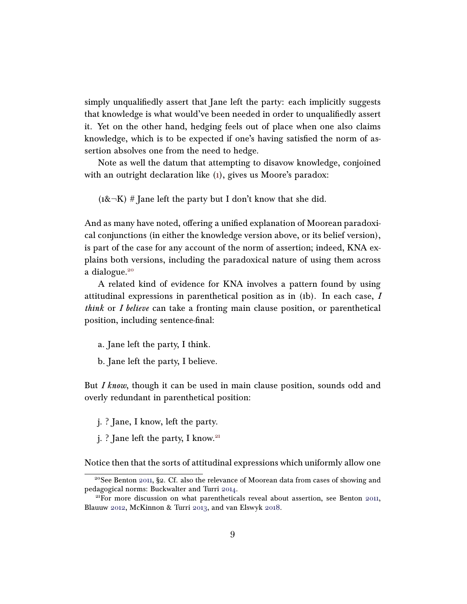simply unqualifiedly assert that Jane left the party: each implicitly suggests that knowledge is what would've been needed in order to unqualifiedly assert it. Yet on the other hand, hedging feels out of place when one also claims knowledge, which is to be expected if one's having satisfied the norm of assertion absolves one from the need to hedge.

Note as well the datum that attempting to disavow knowledge, conjoined with an outright declaration like [\(1\)](#page-0-3), gives us Moore's paradox:

 $(1&\&\neg K)$  # Jane left the party but I don't know that she did.

And as many have noted, offering a unified explanation of Moorean paradoxical conjunctions (in either the knowledge version above, or its belief version), is part of the case for any account of the norm of assertion; indeed, KNA explains both versions, including the paradoxical nature of using them across a dialogue.<sup>[20](#page-8-0)</sup>

A related kind of evidence for KNA involves a pattern found by using attitudinal expressions in parenthetical position as in (1b). In each case, I think or I believe can take a fronting main clause position, or parenthetical position, including sentence-final:

- a. Jane left the party, I think.
- b. Jane left the party, I believe.

But *I know*, though it can be used in main clause position, sounds odd and overly redundant in parenthetical position:

- j. ? Jane, I know, left the party.
- j. ? Jane left the party, I know.<sup>[21](#page-8-1)</sup>

Notice then that the sorts of attitudinal expressions which uniformly allow one

<span id="page-8-0"></span><sup>&</sup>lt;sup>20</sup>See Benton [2011,](#page-20-0) §2. Cf. also the relevance of Moorean data from cases of showing and pedagogical norms: Buckwalter and Turri [2014.](#page-21-12)

<span id="page-8-1"></span><sup>21</sup>For more discussion on what parentheticals reveal about assertion, see Benton [2011,](#page-20-0) Blauuw [2012,](#page-20-5) McKinnon & Turri [2013,](#page-22-10) and van Elswyk [2018.](#page-24-1)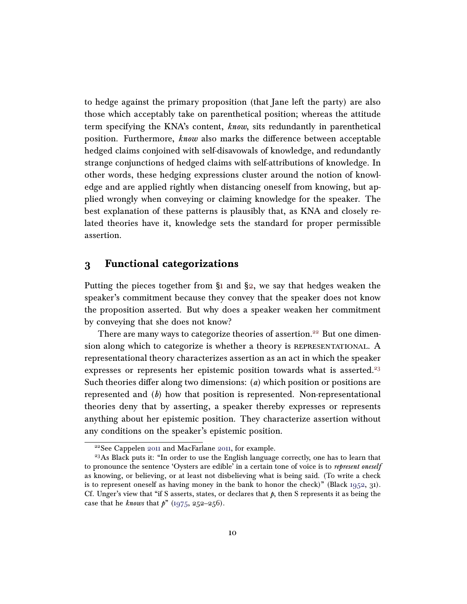to hedge against the primary proposition (that Jane left the party) are also those which acceptably take on parenthetical position; whereas the attitude term specifying the KNA's content, know, sits redundantly in parenthetical position. Furthermore, know also marks the difference between acceptable hedged claims conjoined with self-disavowals of knowledge, and redundantly strange conjunctions of hedged claims with self-attributions of knowledge. In other words, these hedging expressions cluster around the notion of knowledge and are applied rightly when distancing oneself from knowing, but applied wrongly when conveying or claiming knowledge for the speaker. The best explanation of these patterns is plausibly that, as KNA and closely related theories have it, knowledge sets the standard for proper permissible assertion.

#### <span id="page-9-0"></span>3 Functional categorizations

Putting the pieces together from  $\S$ 1 and  $\S$ 2, we say that hedges weaken the speaker's commitment because they convey that the speaker does not know the proposition asserted. But why does a speaker weaken her commitment by conveying that she does not know?

There are many ways to categorize theories of assertion.<sup>[22](#page-9-1)</sup> But one dimension along which to categorize is whether a theory is REPRESENTATIONAL. A representational theory characterizes assertion as an act in which the speaker expresses or represents her epistemic position towards what is asserted.<sup>[23](#page-9-2)</sup> Such theories differ along two dimensions:  $(a)$  which position or positions are represented and  $(b)$  how that position is represented. Non-representational theories deny that by asserting, a speaker thereby expresses or represents anything about her epistemic position. They characterize assertion without any conditions on the speaker's epistemic position.

<span id="page-9-2"></span><span id="page-9-1"></span><sup>22</sup>See Cappelen [2011](#page-21-10) and MacFarlane [2011,](#page-22-6) for example.

<sup>&</sup>lt;sup>23</sup>As Black puts it: "In order to use the English language correctly, one has to learn that to pronounce the sentence 'Oysters are edible' in a certain tone of voice is to represent oneself as knowing, or believing, or at least not disbelieving what is being said. (To write a check is to represent oneself as having money in the bank to honor the check)" (Black  $1952$ , 31). Cf. Unger's view that "if S asserts, states, or declares that  $\beta$ , then S represents it as being the case that he *knows* that  $p''(1975, 252-256)$  $p''(1975, 252-256)$  $p''(1975, 252-256)$ .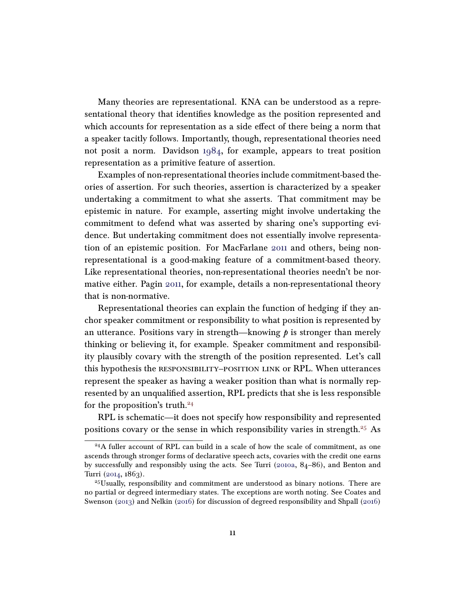Many theories are representational. KNA can be understood as a representational theory that identifies knowledge as the position represented and which accounts for representation as a side effect of there being a norm that a speaker tacitly follows. Importantly, though, representational theories need not posit a norm. Davidson [1984,](#page-21-13) for example, appears to treat position representation as a primitive feature of assertion.

Examples of non-representational theories include commitment-based theories of assertion. For such theories, assertion is characterized by a speaker undertaking a commitment to what she asserts. That commitment may be epistemic in nature. For example, asserting might involve undertaking the commitment to defend what was asserted by sharing one's supporting evidence. But undertaking commitment does not essentially involve representation of an epistemic position. For MacFarlane [2011](#page-22-6) and others, being nonrepresentational is a good-making feature of a commitment-based theory. Like representational theories, non-representational theories needn't be normative either. Pagin [2011,](#page-22-7) for example, details a non-representational theory that is non-normative.

Representational theories can explain the function of hedging if they anchor speaker commitment or responsibility to what position is represented by an utterance. Positions vary in strength—knowing  $\beta$  is stronger than merely thinking or believing it, for example. Speaker commitment and responsibility plausibly covary with the strength of the position represented. Let's call this hypothesis the responsibility–position link or RPL. When utterances represent the speaker as having a weaker position than what is normally represented by an unqualified assertion, RPL predicts that she is less responsible for the proposition's truth. $24$ 

RPL is schematic—it does not specify how responsibility and represented positions covary or the sense in which responsibility varies in strength.<sup>[25](#page-10-1)</sup> As

<span id="page-10-0"></span> $^{24}$ A fuller account of RPL can build in a scale of how the scale of commitment, as one ascends through stronger forms of declarative speech acts, covaries with the credit one earns by successfully and responsibly using the acts. See Turri [\(2010a,](#page-23-11) 84–86), and Benton and Turri [\(2014,](#page-20-1) 1863).

<span id="page-10-1"></span> $25$ Usually, responsibility and commitment are understood as binary notions. There are no partial or degreed intermediary states. The exceptions are worth noting. See Coates and Swenson [\(2013\)](#page-21-14) and Nelkin [\(2016\)](#page-22-11) for discussion of degreed responsibility and Shpall [\(2016\)](#page-23-12)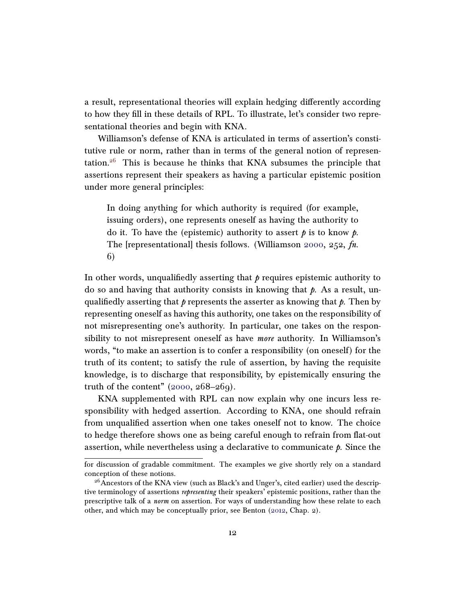a result, representational theories will explain hedging differently according to how they fill in these details of RPL. To illustrate, let's consider two representational theories and begin with KNA.

Williamson's defense of KNA is articulated in terms of assertion's constitutive rule or norm, rather than in terms of the general notion of represen-tation.<sup>[26](#page-11-0)</sup> This is because he thinks that KNA subsumes the principle that assertions represent their speakers as having a particular epistemic position under more general principles:

In doing anything for which authority is required (for example, issuing orders), one represents oneself as having the authority to do it. To have the (epistemic) authority to assert  $\beta$  is to know  $\beta$ . The [representational] thesis follows. (Williamson [2000,](#page-24-6) 252, fn. 6)

In other words, unqualifiedly asserting that  $\phi$  requires epistemic authority to do so and having that authority consists in knowing that  $\rho$ . As a result, unqualifiedly asserting that  $\phi$  represents the asserter as knowing that  $\phi$ . Then by representing oneself as having this authority, one takes on the responsibility of not misrepresenting one's authority. In particular, one takes on the responsibility to not misrepresent oneself as have more authority. In Williamson's words, "to make an assertion is to confer a responsibility (on oneself) for the truth of its content; to satisfy the rule of assertion, by having the requisite knowledge, is to discharge that responsibility, by epistemically ensuring the truth of the content"  $(2000, 268-269)$  $(2000, 268-269)$ .

KNA supplemented with RPL can now explain why one incurs less responsibility with hedged assertion. According to KNA, one should refrain from unqualified assertion when one takes oneself not to know. The choice to hedge therefore shows one as being careful enough to refrain from flat-out assertion, while nevertheless using a declarative to communicate  $\hat{p}$ . Since the

for discussion of gradable commitment. The examples we give shortly rely on a standard conception of these notions.

<span id="page-11-0"></span><sup>&</sup>lt;sup>26</sup> Ancestors of the KNA view (such as Black's and Unger's, cited earlier) used the descriptive terminology of assertions *representing* their speakers' epistemic positions, rather than the prescriptive talk of a norm on assertion. For ways of understanding how these relate to each other, and which may be conceptually prior, see Benton [\(2012,](#page-20-12) Chap. 2).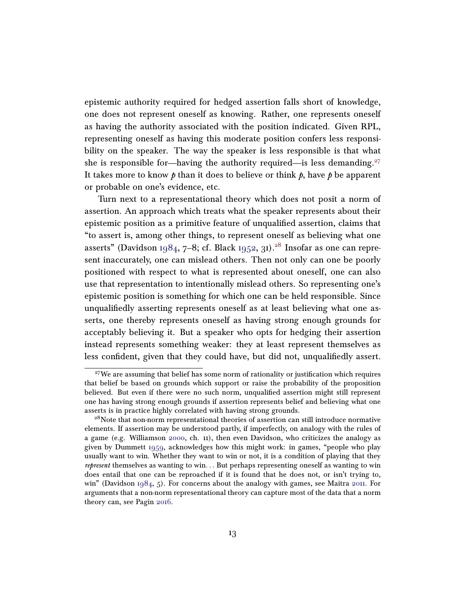epistemic authority required for hedged assertion falls short of knowledge, one does not represent oneself as knowing. Rather, one represents oneself as having the authority associated with the position indicated. Given RPL, representing oneself as having this moderate position confers less responsibility on the speaker. The way the speaker is less responsible is that what she is responsible for—having the authority required—is less demanding. $27$ It takes more to know  $\hat{p}$  than it does to believe or think  $\hat{p}$ , have  $\hat{p}$  be apparent or probable on one's evidence, etc.

Turn next to a representational theory which does not posit a norm of assertion. An approach which treats what the speaker represents about their epistemic position as a primitive feature of unqualified assertion, claims that "to assert is, among other things, to represent oneself as believing what one asserts" (Davidson [1984,](#page-21-13) 7–8; cf. Black [1952,](#page-20-11) 31).<sup>[28](#page-12-1)</sup> Insofar as one can represent inaccurately, one can mislead others. Then not only can one be poorly positioned with respect to what is represented about oneself, one can also use that representation to intentionally mislead others. So representing one's epistemic position is something for which one can be held responsible. Since unqualifiedly asserting represents oneself as at least believing what one asserts, one thereby represents oneself as having strong enough grounds for acceptably believing it. But a speaker who opts for hedging their assertion instead represents something weaker: they at least represent themselves as less confident, given that they could have, but did not, unqualifiedly assert.

<span id="page-12-0"></span> $27$ We are assuming that belief has some norm of rationality or justification which requires that belief be based on grounds which support or raise the probability of the proposition believed. But even if there were no such norm, unqualified assertion might still represent one has having strong enough grounds if assertion represents belief and believing what one asserts is in practice highly correlated with having strong grounds.

<span id="page-12-1"></span><sup>&</sup>lt;sup>28</sup>Note that non-norm representational theories of assertion can still introduce normative elements. If assertion may be understood partly, if imperfectly, on analogy with the rules of a game (e.g. Williamson [2000,](#page-24-6) ch. 11), then even Davidson, who criticizes the analogy as given by Dummett [1959,](#page-21-15) acknowledges how this might work: in games, "people who play usually want to win. Whether they want to win or not, it is a condition of playing that they represent themselves as wanting to win. . . But perhaps representing oneself as wanting to win does entail that one can be reproached if it is found that he does not, or isn't trying to, win" (Davidson [1984,](#page-21-13) 5). For concerns about the analogy with games, see Maitra [2011.](#page-22-12) For arguments that a non-norm representational theory can capture most of the data that a norm theory can, see Pagin [2016.](#page-23-13)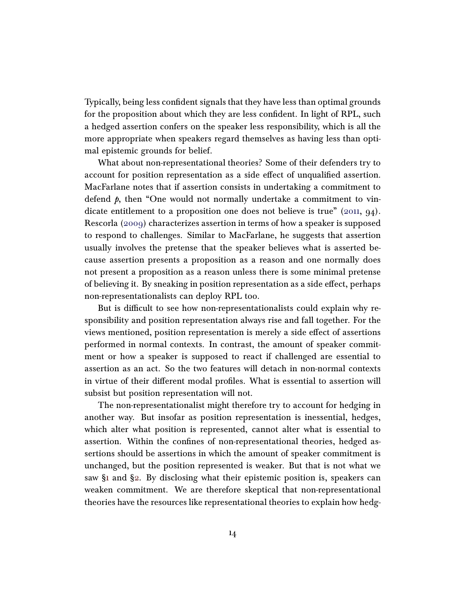Typically, being less confident signals that they have less than optimal grounds for the proposition about which they are less confident. In light of RPL, such a hedged assertion confers on the speaker less responsibility, which is all the more appropriate when speakers regard themselves as having less than optimal epistemic grounds for belief.

What about non-representational theories? Some of their defenders try to account for position representation as a side effect of unqualified assertion. MacFarlane notes that if assertion consists in undertaking a commitment to defend  $\beta$ , then "One would not normally undertake a commitment to vin-dicate entitlement to a proposition one does not believe is true" [\(2011,](#page-22-6) 94). Rescorla [\(2009\)](#page-23-14) characterizes assertion in terms of how a speaker is supposed to respond to challenges. Similar to MacFarlane, he suggests that assertion usually involves the pretense that the speaker believes what is asserted because assertion presents a proposition as a reason and one normally does not present a proposition as a reason unless there is some minimal pretense of believing it. By sneaking in position representation as a side effect, perhaps non-representationalists can deploy RPL too.

But is difficult to see how non-representationalists could explain why responsibility and position representation always rise and fall together. For the views mentioned, position representation is merely a side effect of assertions performed in normal contexts. In contrast, the amount of speaker commitment or how a speaker is supposed to react if challenged are essential to assertion as an act. So the two features will detach in non-normal contexts in virtue of their different modal profiles. What is essential to assertion will subsist but position representation will not.

The non-representationalist might therefore try to account for hedging in another way. But insofar as position representation is inessential, hedges, which alter what position is represented, cannot alter what is essential to assertion. Within the confines of non-representational theories, hedged assertions should be assertions in which the amount of speaker commitment is unchanged, but the position represented is weaker. But that is not what we saw  $\S$ 1 and  $\S$ 2. By disclosing what their epistemic position is, speakers can weaken commitment. We are therefore skeptical that non-representational theories have the resources like representational theories to explain how hedg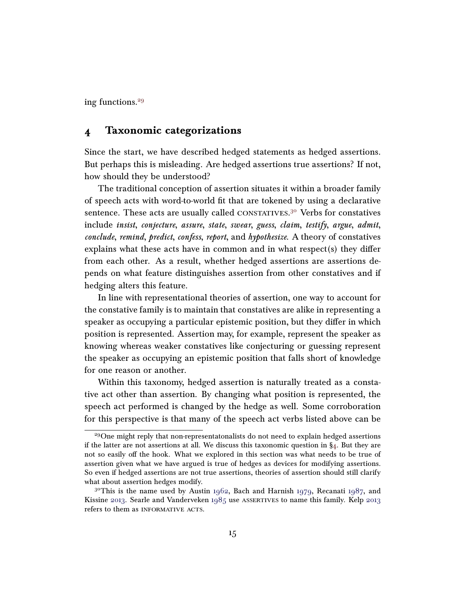ing functions.[29](#page-14-1)

#### <span id="page-14-0"></span>4 Taxonomic categorizations

Since the start, we have described hedged statements as hedged assertions. But perhaps this is misleading. Are hedged assertions true assertions? If not, how should they be understood?

The traditional conception of assertion situates it within a broader family of speech acts with word-to-world fit that are tokened by using a declarative sentence. These acts are usually called CONSTATIVES.<sup>[30](#page-14-2)</sup> Verbs for constatives include insist, conjecture, assure, state, swear, guess, claim, testify, argue, admit, conclude, remind, predict, confess, report, and hypothesize. A theory of constatives explains what these acts have in common and in what respect(s) they differ from each other. As a result, whether hedged assertions are assertions depends on what feature distinguishes assertion from other constatives and if hedging alters this feature.

In line with representational theories of assertion, one way to account for the constative family is to maintain that constatives are alike in representing a speaker as occupying a particular epistemic position, but they differ in which position is represented. Assertion may, for example, represent the speaker as knowing whereas weaker constatives like conjecturing or guessing represent the speaker as occupying an epistemic position that falls short of knowledge for one reason or another.

Within this taxonomy, hedged assertion is naturally treated as a constative act other than assertion. By changing what position is represented, the speech act performed is changed by the hedge as well. Some corroboration for this perspective is that many of the speech act verbs listed above can be

<span id="page-14-1"></span><sup>&</sup>lt;sup>29</sup>One might reply that non-representatonalists do not need to explain hedged assertions if the latter are not assertions at all. We discuss this taxonomic question in  $\S_4$ . But they are not so easily off the hook. What we explored in this section was what needs to be true of assertion given what we have argued is true of hedges as devices for modifying assertions. So even if hedged assertions are not true assertions, theories of assertion should still clarify what about assertion hedges modify.

<span id="page-14-2"></span><sup>&</sup>lt;sup>30</sup>This is the name used by Austin [1962,](#page-20-13) Bach and Harnish [1979,](#page-20-14) Recanati [1987,](#page-23-15) and Kissine [2013.](#page-22-13) Searle and Vanderveken [1985](#page-23-16) use assertives to name this family. Kelp [2013](#page-22-14) refers to them as INFORMATIVE ACTS.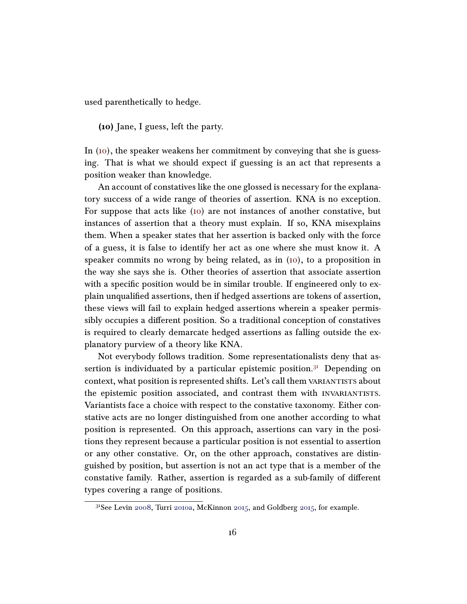used parenthetically to hedge.

<span id="page-15-0"></span>(10) Jane, I guess, left the party.

In [\(10\)](#page-15-0), the speaker weakens her commitment by conveying that she is guessing. That is what we should expect if guessing is an act that represents a position weaker than knowledge.

An account of constatives like the one glossed is necessary for the explanatory success of a wide range of theories of assertion. KNA is no exception. For suppose that acts like [\(10\)](#page-15-0) are not instances of another constative, but instances of assertion that a theory must explain. If so, KNA misexplains them. When a speaker states that her assertion is backed only with the force of a guess, it is false to identify her act as one where she must know it. A speaker commits no wrong by being related, as in [\(10\)](#page-15-0), to a proposition in the way she says she is. Other theories of assertion that associate assertion with a specific position would be in similar trouble. If engineered only to explain unqualified assertions, then if hedged assertions are tokens of assertion, these views will fail to explain hedged assertions wherein a speaker permissibly occupies a different position. So a traditional conception of constatives is required to clearly demarcate hedged assertions as falling outside the explanatory purview of a theory like KNA.

Not everybody follows tradition. Some representationalists deny that assertion is individuated by a particular epistemic position. $31$  Depending on context, what position is represented shifts. Let's call them VARIANTISTS about the epistemic position associated, and contrast them with invariantists. Variantists face a choice with respect to the constative taxonomy. Either constative acts are no longer distinguished from one another according to what position is represented. On this approach, assertions can vary in the positions they represent because a particular position is not essential to assertion or any other constative. Or, on the other approach, constatives are distinguished by position, but assertion is not an act type that is a member of the constative family. Rather, assertion is regarded as a sub-family of different types covering a range of positions.

<span id="page-15-1"></span><sup>31</sup>See Levin [2008,](#page-22-15) Turri [2010a,](#page-23-11) McKinnon [2015,](#page-22-5) and Goldberg [2015,](#page-21-4) for example.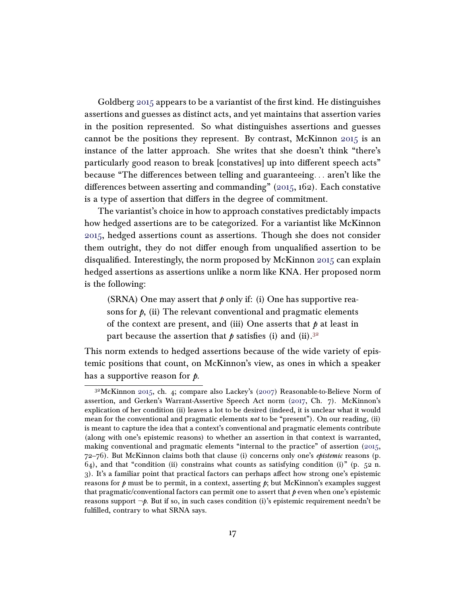Goldberg [2015](#page-21-4) appears to be a variantist of the first kind. He distinguishes assertions and guesses as distinct acts, and yet maintains that assertion varies in the position represented. So what distinguishes assertions and guesses cannot be the positions they represent. By contrast, McKinnon  $2015$  is an instance of the latter approach. She writes that she doesn't think "there's particularly good reason to break [constatives] up into different speech acts" because "The differences between telling and guaranteeing... aren't like the differences between asserting and commanding"  $(2015, 162)$  $(2015, 162)$ . Each constative is a type of assertion that differs in the degree of commitment.

The variantist's choice in how to approach constatives predictably impacts how hedged assertions are to be categorized. For a variantist like McKinnon [2015,](#page-22-5) hedged assertions count as assertions. Though she does not consider them outright, they do not differ enough from unqualified assertion to be disqualified. Interestingly, the norm proposed by McKinnon [2015](#page-22-5) can explain hedged assertions as assertions unlike a norm like KNA. Her proposed norm is the following:

(SRNA) One may assert that  $p$  only if: (i) One has supportive reasons for  $p$ , (ii) The relevant conventional and pragmatic elements of the context are present, and (iii) One asserts that  $\phi$  at least in part because the assertion that  $\phi$  satisfies (i) and (ii).<sup>[32](#page-16-0)</sup>

This norm extends to hedged assertions because of the wide variety of epistemic positions that count, on McKinnon's view, as ones in which a speaker has a supportive reason for *.* 

<span id="page-16-0"></span> $3<sup>2</sup>$ McKinnon [2015,](#page-22-5) ch. 4; compare also Lackey's [\(2007\)](#page-22-3) Reasonable-to-Believe Norm of assertion, and Gerken's Warrant-Assertive Speech Act norm [\(2017,](#page-21-5) Ch. 7). McKinnon's explication of her condition (ii) leaves a lot to be desired (indeed, it is unclear what it would mean for the conventional and pragmatic elements not to be "present"). On our reading, (ii) is meant to capture the idea that a context's conventional and pragmatic elements contribute (along with one's epistemic reasons) to whether an assertion in that context is warranted, making conventional and pragmatic elements "internal to the practice" of assertion [\(2015,](#page-22-5)  $72-76$ ). But McKinnon claims both that clause (i) concerns only one's *epistemic* reasons (p.  $64$ ), and that "condition (ii) constrains what counts as satisfying condition (i)" (p. 52 n. 3). It's a familiar point that practical factors can perhaps affect how strong one's epistemic reasons for  $\hat{p}$  must be to permit, in a context, asserting  $\hat{p}$ ; but McKinnon's examples suggest that pragmatic/conventional factors can permit one to assert that  $p$  even when one's epistemic reasons support  $\neg p$ . But if so, in such cases condition (i)'s epistemic requirement needn't be fulfilled, contrary to what SRNA says.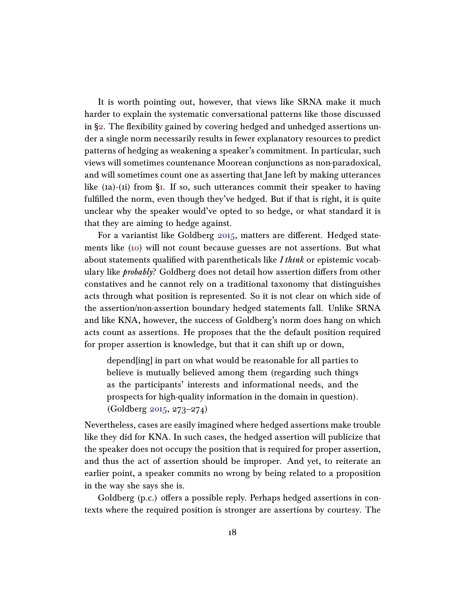It is worth pointing out, however, that views like SRNA make it much harder to explain the systematic conversational patterns like those discussed in [§2.](#page-5-0) The flexibility gained by covering hedged and unhedged assertions under a single norm necessarily results in fewer explanatory resources to predict patterns of hedging as weakening a speaker's commitment. In particular, such views will sometimes countenance Moorean conjunctions as non-paradoxical, and will sometimes count one as asserting that Jane left by making utterances like (1a)-(1i) from [§1.](#page-2-0) If so, such utterances commit their speaker to having fulfilled the norm, even though they've hedged. But if that is right, it is quite unclear why the speaker would've opted to so hedge, or what standard it is that they are aiming to hedge against.

For a variantist like Goldberg [2015,](#page-21-4) matters are different. Hedged statements like [\(10\)](#page-15-0) will not count because guesses are not assertions. But what about statements qualified with parentheticals like I think or epistemic vocabulary like *probably*? Goldberg does not detail how assertion differs from other constatives and he cannot rely on a traditional taxonomy that distinguishes acts through what position is represented. So it is not clear on which side of the assertion/non-assertion boundary hedged statements fall. Unlike SRNA and like KNA, however, the success of Goldberg's norm does hang on which acts count as assertions. He proposes that the the default position required for proper assertion is knowledge, but that it can shift up or down,

depend[ing] in part on what would be reasonable for all parties to believe is mutually believed among them (regarding such things as the participants' interests and informational needs, and the prospects for high-quality information in the domain in question). (Goldberg [2015,](#page-21-4) 273–274)

Nevertheless, cases are easily imagined where hedged assertions make trouble like they did for KNA. In such cases, the hedged assertion will publicize that the speaker does not occupy the position that is required for proper assertion, and thus the act of assertion should be improper. And yet, to reiterate an earlier point, a speaker commits no wrong by being related to a proposition in the way she says she is.

Goldberg (p.c.) offers a possible reply. Perhaps hedged assertions in contexts where the required position is stronger are assertions by courtesy. The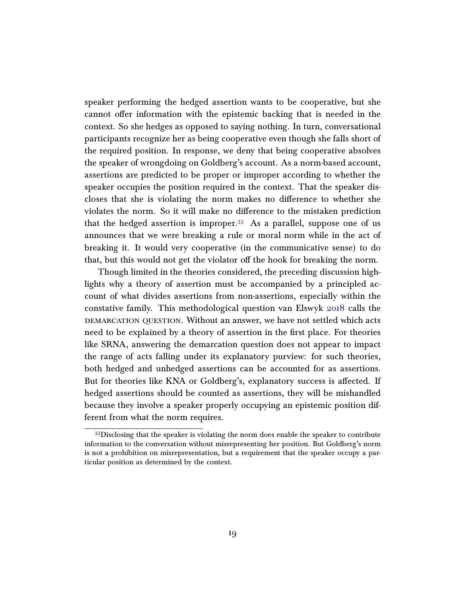speaker performing the hedged assertion wants to be cooperative, but she cannot offer information with the epistemic backing that is needed in the context. So she hedges as opposed to saying nothing. In turn, conversational participants recognize her as being cooperative even though she falls short of the required position. In response, we deny that being cooperative absolves the speaker of wrongdoing on Goldberg's account. As a norm-based account, assertions are predicted to be proper or improper according to whether the speaker occupies the position required in the context. That the speaker discloses that she is violating the norm makes no difference to whether she violates the norm. So it will make no difference to the mistaken prediction that the hedged assertion is improper.<sup>[33](#page-18-0)</sup> As a parallel, suppose one of us announces that we were breaking a rule or moral norm while in the act of breaking it. It would very cooperative (in the communicative sense) to do that, but this would not get the violator off the hook for breaking the norm.

Though limited in the theories considered, the preceding discussion highlights why a theory of assertion must be accompanied by a principled account of what divides assertions from non-assertions, especially within the constative family. This methodological question van Elswyk [2018](#page-24-1) calls the demarcation question. Without an answer, we have not settled which acts need to be explained by a theory of assertion in the first place. For theories like SRNA, answering the demarcation question does not appear to impact the range of acts falling under its explanatory purview: for such theories, both hedged and unhedged assertions can be accounted for as assertions. But for theories like KNA or Goldberg's, explanatory success is affected. If hedged assertions should be counted as assertions, they will be mishandled because they involve a speaker properly occupying an epistemic position different from what the norm requires.

<span id="page-18-0"></span><sup>33</sup>Disclosing that the speaker is violating the norm does enable the speaker to contribute information to the conversation without misrepresenting her position. But Goldberg's norm is not a prohibition on misrepresentation, but a requirement that the speaker occupy a particular position as determined by the context.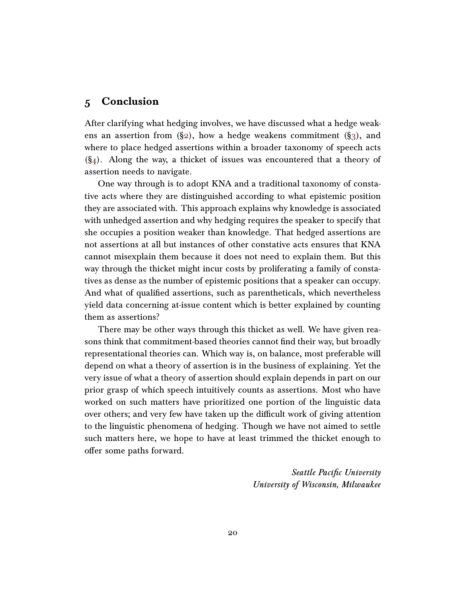## 5 Conclusion

After clarifying what hedging involves, we have discussed what a hedge weakens an assertion from  $(\S_2)$ , how a hedge weakens commitment  $(\S_3)$ , and where to place hedged assertions within a broader taxonomy of speech acts  $(\S_4)$ . Along the way, a thicket of issues was encountered that a theory of assertion needs to navigate.

One way through is to adopt KNA and a traditional taxonomy of constative acts where they are distinguished according to what epistemic position they are associated with. This approach explains why knowledge is associated with unhedged assertion and why hedging requires the speaker to specify that she occupies a position weaker than knowledge. That hedged assertions are not assertions at all but instances of other constative acts ensures that KNA cannot misexplain them because it does not need to explain them. But this way through the thicket might incur costs by proliferating a family of constatives as dense as the number of epistemic positions that a speaker can occupy. And what of qualified assertions, such as parentheticals, which nevertheless yield data concerning at-issue content which is better explained by counting them as assertions?

There may be other ways through this thicket as well. We have given reasons think that commitment-based theories cannot find their way, but broadly representational theories can. Which way is, on balance, most preferable will depend on what a theory of assertion is in the business of explaining. Yet the very issue of what a theory of assertion should explain depends in part on our prior grasp of which speech intuitively counts as assertions. Most who have worked on such matters have prioritized one portion of the linguistic data over others; and very few have taken up the difficult work of giving attention to the linguistic phenomena of hedging. Though we have not aimed to settle such matters here, we hope to have at least trimmed the thicket enough to offer some paths forward.

> Seattle Pacific University University of Wisconsin, Milwaukee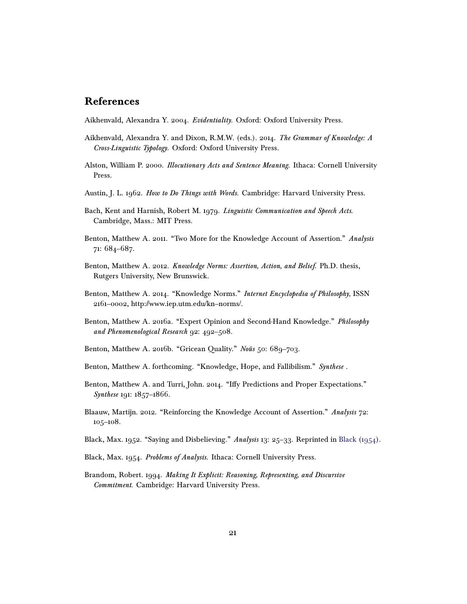## References

<span id="page-20-2"></span>Aikhenvald, Alexandra Y. 2004. Evidentiality. Oxford: Oxford University Press.

- <span id="page-20-3"></span>Aikhenvald, Alexandra Y. and Dixon, R.M.W. (eds.). 2014. The Grammar of Knowledge: A Cross-Linguistic Typology. Oxford: Oxford University Press.
- <span id="page-20-6"></span>Alston, William P. 2000. *Illocutionary Acts and Sentence Meaning*. Ithaca: Cornell University Press.
- <span id="page-20-13"></span>Austin, J. L. 1962. How to Do Things with Words. Cambridge: Harvard University Press.
- <span id="page-20-14"></span>Bach, Kent and Harnish, Robert M. 1979. Linguistic Communication and Speech Acts. Cambridge, Mass.: MIT Press.
- <span id="page-20-0"></span>Benton, Matthew A. 2011. "Two More for the Knowledge Account of Assertion." Analysis 71: 684–687.
- <span id="page-20-12"></span>Benton, Matthew A. 2012. Knowledge Norms: Assertion, Action, and Belief. Ph.D. thesis, Rutgers University, New Brunswick.
- <span id="page-20-10"></span>Benton, Matthew A. 2014. "Knowledge Norms." Internet Encyclopedia of Philosophy, ISSN 2161–0002, http://www.iep.utm.edu/kn–norms/.
- <span id="page-20-9"></span>Benton, Matthew A. 2016a. "Expert Opinion and Second-Hand Knowledge." Philosophy and Phenomenological Research 92: 492–508.
- <span id="page-20-4"></span>Benton, Matthew A. 2016b. "Gricean Quality." Noûs 50: 689-703.
- <span id="page-20-8"></span>Benton, Matthew A. forthcoming. "Knowledge, Hope, and Fallibilism." Synthese .
- <span id="page-20-1"></span>Benton, Matthew A. and Turri, John. 2014. "Iffy Predictions and Proper Expectations." Synthese 191: 1857-1866.
- <span id="page-20-5"></span>Blaauw, Martijn. 2012. "Reinforcing the Knowledge Account of Assertion." Analysis 72: 105–108.
- <span id="page-20-11"></span>Black, Max. 1952. "Saying and Disbelieving." Analysis 13: 25–33. Reprinted in [Black](#page-20-15) [\(1954\)](#page-20-15).
- <span id="page-20-15"></span>Black, Max. 1954. Problems of Analysis. Ithaca: Cornell University Press.
- <span id="page-20-7"></span>Brandom, Robert. 1994. Making It Explicit: Reasoning, Representing, and Discursive Commitment. Cambridge: Harvard University Press.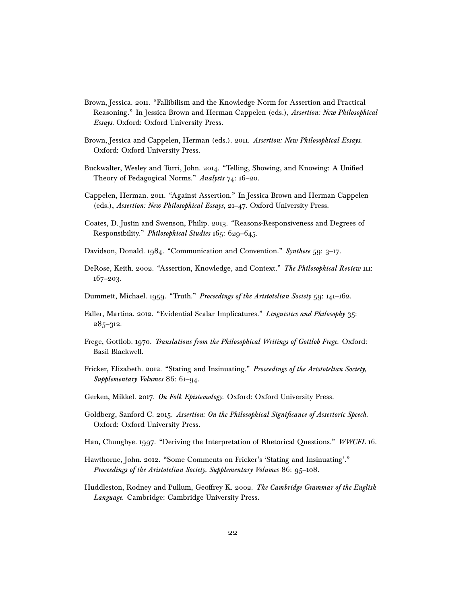- <span id="page-21-9"></span>Brown, Jessica. 2011. "Fallibilism and the Knowledge Norm for Assertion and Practical Reasoning." In Jessica Brown and Herman Cappelen (eds.), Assertion: New Philosophical Essays. Oxford: Oxford University Press.
- <span id="page-21-1"></span>Brown, Jessica and Cappelen, Herman (eds.). 2011. Assertion: New Philosophical Essays. Oxford: Oxford University Press.
- <span id="page-21-12"></span>Buckwalter, Wesley and Turri, John. 2014. "Telling, Showing, and Knowing: A Unified Theory of Pedagogical Norms." Analysis 74: 16–20.
- <span id="page-21-10"></span>Cappelen, Herman. 2011. "Against Assertion." In Jessica Brown and Herman Cappelen (eds.), Assertion: New Philosophical Essays, 21–47. Oxford University Press.
- <span id="page-21-14"></span>Coates, D. Justin and Swenson, Philip. 2013. "Reasons-Responsiveness and Degrees of Responsibility." Philosophical Studies 165: 629–645.
- <span id="page-21-13"></span>Davidson, Donald. 1984. "Communication and Convention." Synthese 59: 3–17.
- <span id="page-21-11"></span>DeRose, Keith. 2002. "Assertion, Knowledge, and Context." The Philosophical Review 111: 167–203.
- <span id="page-21-15"></span>Dummett, Michael. 1959. "Truth." Proceedings of the Aristotelian Society 59: 141–162.
- <span id="page-21-8"></span>Faller, Martina. 2012. "Evidential Scalar Implicatures." Linguistics and Philosophy 35: 285–312.
- <span id="page-21-6"></span>Frege, Gottlob. 1970. Translations from the Philosophical Writings of Gottlob Frege. Oxford: Basil Blackwell.
- <span id="page-21-2"></span>Fricker, Elizabeth. 2012. "Stating and Insinuating." Proceedings of the Aristotelian Society, Supplementary Volumes 86: 61–94.
- <span id="page-21-5"></span>Gerken, Mikkel. 2017. On Folk Epistemology. Oxford: Oxford University Press.
- <span id="page-21-4"></span>Goldberg, Sanford C. 2015. Assertion: On the Philosophical Significance of Assertoric Speech. Oxford: Oxford University Press.
- <span id="page-21-0"></span>Han, Chunghye. 1997. "Deriving the Interpretation of Rhetorical Questions." WWCFL 16.
- <span id="page-21-3"></span>Hawthorne, John. 2012. "Some Comments on Fricker's 'Stating and Insinuating'." Proceedings of the Aristotelian Society, Supplementary Volumes 86: 95-108.
- <span id="page-21-7"></span>Huddleston, Rodney and Pullum, Geoffrey K. 2002. The Cambridge Grammar of the English Language. Cambridge: Cambridge University Press.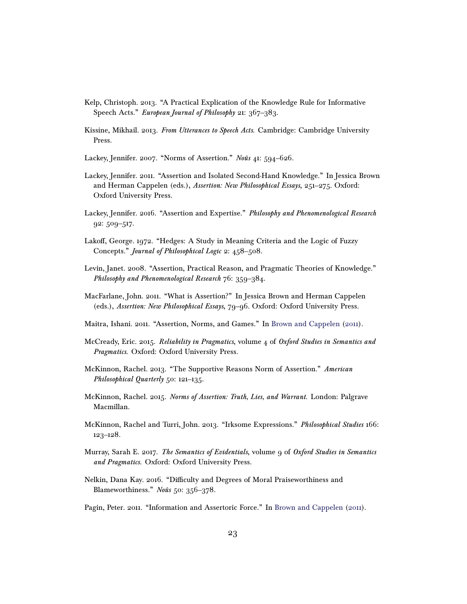- <span id="page-22-14"></span>Kelp, Christoph. 2013. "A Practical Explication of the Knowledge Rule for Informative Speech Acts." European Journal of Philosophy 21: 367-383.
- <span id="page-22-13"></span>Kissine, Mikhail. 2013. From Utterances to Speech Acts. Cambridge: Cambridge University Press.
- <span id="page-22-3"></span>Lackey, Jennifer. 2007. "Norms of Assertion." Noûs 41: 594–626.
- <span id="page-22-8"></span>Lackey, Jennifer. 2011. "Assertion and Isolated Second-Hand Knowledge." In Jessica Brown and Herman Cappelen (eds.), Assertion: New Philosophical Essays, 251–275. Oxford: Oxford University Press.
- <span id="page-22-9"></span>Lackey, Jennifer. 2016. "Assertion and Expertise." Philosophy and Phenomenological Research 92: 509–517.
- <span id="page-22-0"></span>Lakoff, George. 1972. "Hedges: A Study in Meaning Criteria and the Logic of Fuzzy Concepts." Journal of Philosophical Logic 2: 458–508.
- <span id="page-22-15"></span>Levin, Janet. 2008. "Assertion, Practical Reason, and Pragmatic Theories of Knowledge." Philosophy and Phenomenological Research 76: 359–384.
- <span id="page-22-6"></span>MacFarlane, John. 2011. "What is Assertion?" In Jessica Brown and Herman Cappelen (eds.), Assertion: New Philosophical Essays, 79–96. Oxford: Oxford University Press.
- <span id="page-22-12"></span>Maitra, Ishani. 2011. "Assertion, Norms, and Games." In [Brown and Cappelen](#page-21-1) [\(2011\)](#page-21-1).
- <span id="page-22-1"></span>McCready, Eric. 2015. Reliability in Pragmatics, volume  $\mu$  of Oxford Studies in Semantics and Pragmatics. Oxford: Oxford University Press.
- <span id="page-22-4"></span>McKinnon, Rachel. 2013. "The Supportive Reasons Norm of Assertion." American Philosophical Quarterly 50: 121-135.
- <span id="page-22-5"></span>McKinnon, Rachel. 2015. Norms of Assertion: Truth, Lies, and Warrant. London: Palgrave Macmillan.
- <span id="page-22-10"></span>McKinnon, Rachel and Turri, John. 2013. "Irksome Expressions." Philosophical Studies 166: 123–128.
- <span id="page-22-2"></span>Murray, Sarah E. 2017. The Semantics of Evidentials, volume 9 of Oxford Studies in Semantics and Pragmatics. Oxford: Oxford University Press.
- <span id="page-22-11"></span>Nelkin, Dana Kay. 2016. "Difficulty and Degrees of Moral Praiseworthiness and Blameworthiness." Noûs 50: 356–378.
- <span id="page-22-7"></span>Pagin, Peter. 2011. "Information and Assertoric Force." In [Brown and Cappelen](#page-21-1) [\(2011\)](#page-21-1).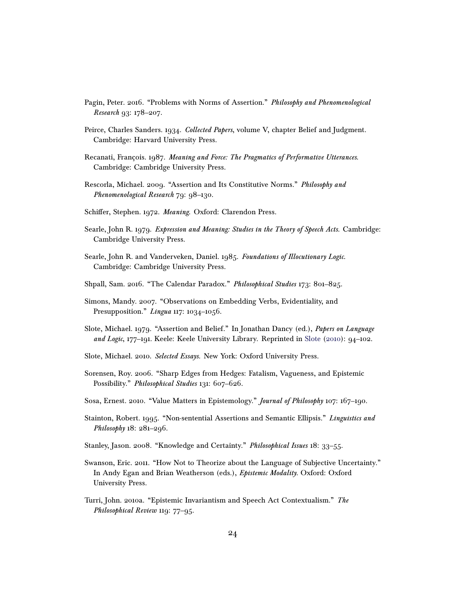- <span id="page-23-13"></span>Pagin, Peter. 2016. "Problems with Norms of Assertion." Philosophy and Phenomenological Research 93: 178–207.
- <span id="page-23-6"></span>Peirce, Charles Sanders. 1934. Collected Papers, volume V, chapter Belief and Judgment. Cambridge: Harvard University Press.
- <span id="page-23-15"></span>Recanati, François. 1987. Meaning and Force: The Pragmatics of Performative Utterances. Cambridge: Cambridge University Press.
- <span id="page-23-14"></span>Rescorla, Michael. 2009. "Assertion and Its Constitutive Norms." Philosophy and Phenomenological Research 79: 98–130.
- <span id="page-23-1"></span>Schiffer, Stephen. 1972. Meaning. Oxford: Clarendon Press.
- <span id="page-23-2"></span>Searle, John R. 1979. Expression and Meaning: Studies in the Theory of Speech Acts. Cambridge: Cambridge University Press.
- <span id="page-23-16"></span>Searle, John R. and Vanderveken, Daniel. 1985. Foundations of Illocutionary Logic. Cambridge: Cambridge University Press.
- <span id="page-23-12"></span>Shpall, Sam. 2016. "The Calendar Paradox." Philosophical Studies 173: 801–825.
- <span id="page-23-4"></span>Simons, Mandy. 2007. "Observations on Embedding Verbs, Evidentiality, and Presupposition." *Lingua* 117: 1034-1056.
- <span id="page-23-9"></span>Slote, Michael. 1979. "Assertion and Belief." In Jonathan Dancy (ed.), Papers on Language and Logic, 177–191. Keele: Keele University Library. Reprinted in [Slote](#page-23-10) [\(2010\)](#page-23-10): 94–102.
- <span id="page-23-10"></span>Slote, Michael. 2010. Selected Essays. New York: Oxford University Press.
- <span id="page-23-3"></span>Sorensen, Roy. 2006. "Sharp Edges from Hedges: Fatalism, Vagueness, and Epistemic Possibility." Philosophical Studies 131: 607-626.
- <span id="page-23-8"></span>Sosa, Ernest. 2010. "Value Matters in Epistemology." Journal of Philosophy 107: 167–190.
- <span id="page-23-0"></span>Stainton, Robert. 1995. "Non-sentential Assertions and Semantic Ellipsis." Linguistics and Philosophy 18: 281-296.
- <span id="page-23-5"></span>Stanley, Jason. 2008. "Knowledge and Certainty." Philosophical Issues 18: 33-55.
- <span id="page-23-7"></span>Swanson, Eric. 2011. "How Not to Theorize about the Language of Subjective Uncertainty." In Andy Egan and Brian Weatherson (eds.), Epistemic Modality. Oxford: Oxford University Press.
- <span id="page-23-11"></span>Turri, John. 2010a. "Epistemic Invariantism and Speech Act Contextualism." The Philosophical Review 119: 77–95.